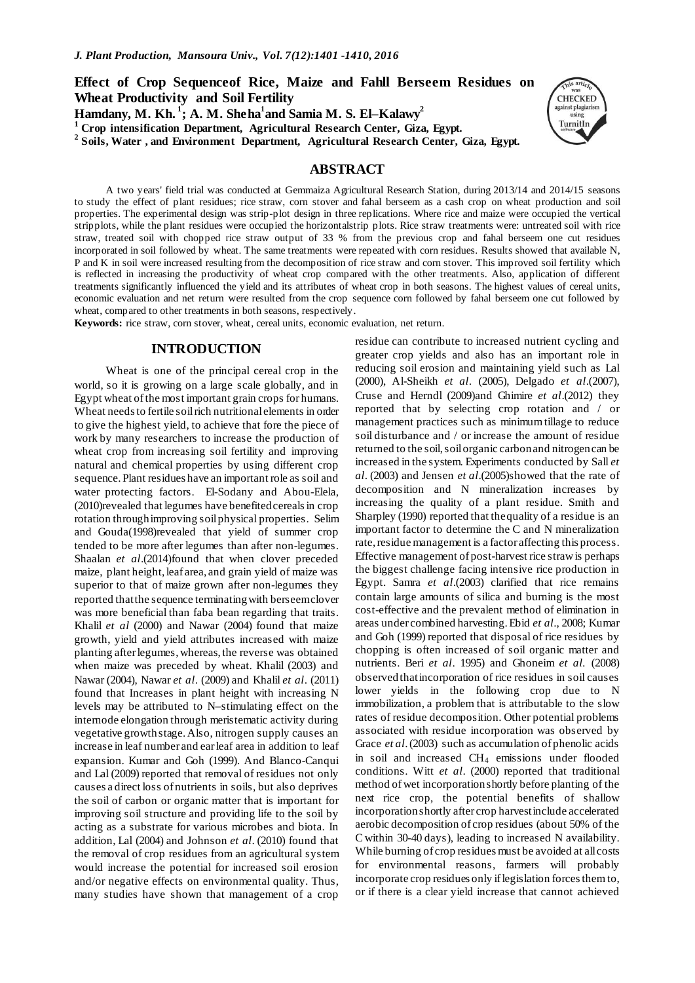# **Effect of Crop Sequenceof Rice, Maize and Fahll Berseem Residues on Wheat Productivity and Soil Fertility**  $\boldsymbol{\mathrm{H}}$  amdany, M. Kh.  $^1$ ; A. M. Sheha $^1$ and Samia M. S. El–Kalawy $^2$

**<sup>1</sup> Crop intensification Department, Agricultural Research Center, Giza, Egypt.**

**<sup>2</sup> Soils, Water , and Environment Department, Agricultural Research Center, Giza, Egypt.**

## **ABSTRACT**

A two years' field trial was conducted at Gemmaiza Agricultural Research Station, during 2013/14 and 2014/15 seasons to study the effect of plant residues; rice straw, corn stover and fahal berseem as a cash crop on wheat production and soil properties. The experimental design was strip-plot design in three replications. Where rice and maize were occupied the vertical stripplots, while the plant residues were occupied the horizontalstrip plots. Rice straw treatments were: untreated soil with rice straw, treated soil with chopped rice straw output of 33 % from the previous crop and fahal berseem one cut residues incorporated in soil followed by wheat. The same treatments were repeated with corn residues. Results showed that available N, P and K in soil were increased resulting from the decomposition of rice straw and corn stover. This improved soil fertility which is reflected in increasing the productivity of wheat crop compared with the other treatments. Also, application of different treatments significantly influenced the yield and its attributes of wheat crop in both seasons. The highest values of cereal units, economic evaluation and net return were resulted from the crop sequence corn followed by fahal berseem one cut followed by wheat, compared to other treatments in both seasons, respectively.

**Keywords:** rice straw, corn stover, wheat, cereal units, economic evaluation, net return.

### **INTRODUCTION**

Wheat is one of the principal cereal crop in the world, so it is growing on a large scale globally, and in Egypt wheat of the most important grain crops for humans. Wheat needs to fertile soil rich nutritional elements in order to give the highest yield, to achieve that fore the piece of work by many researchers to increase the production of wheat crop from increasing soil fertility and improving natural and chemical properties by using different crop sequence. Plant residues have an important role as soil and water protecting factors. El-Sodany and Abou-Elela, (2010)revealed that legumes have benefited cereals in crop rotation through improving soil physical properties. Selim and Gouda(1998)revealed that yield of summer crop tended to be more after legumes than after non-legumes. Shaalan *et al*.(2014)found that when clover preceded maize, plant height, leaf area, and grain yield of maize was superior to that of maize grown after non-legumes they reported that the sequence terminating with berseem clover was more beneficial than faba bean regarding that traits. Khalil *et al* (2000) and Nawar (2004) found that maize growth, yield and yield attributes increased with maize planting after legumes, whereas, the reverse was obtained when maize was preceded by wheat. Khalil (2003) and Nawar (2004), Nawar *et al*. (2009) and Khalil *et al*. (2011) found that Increases in plant height with increasing N levels may be attributed to N–stimulating effect on the internode elongation through meristematic activity during vegetative growth stage. Also, nitrogen supply causes an increase in leaf number and ear leaf area in addition to leaf expansion. Kumar and Goh (1999). And Blanco-Canqui and Lal (2009) reported that removal of residues not only causes a direct loss of nutrients in soils, but also deprives the soil of carbon or organic matter that is important for improving soil structure and providing life to the soil by acting as a substrate for various microbes and biota. In addition, Lal (2004) and Johnson *et al*. (2010) found that the removal of crop residues from an agricultural system would increase the potential for increased soil erosion and/or negative effects on environmental quality. Thus, many studies have shown that management of a crop

residue can contribute to increased nutrient cycling and greater crop yields and also has an important role in reducing soil erosion and maintaining yield such as Lal (2000), Al-Sheikh *et al*. (2005), Delgado *et al*.(2007), Cruse and Herndl (2009)and Ghimire *et al*.(2012) they reported that by selecting crop rotation and / or management practices such as minimum tillage to reduce soil disturbance and / or increase the amount of residue returned to the soil, soil organic carbon and nitrogen can be increased in the system. Experiments conducted by Sall *et al*. (2003) and Jensen *et al*.(2005)showed that the rate of decomposition and N mineralization increases by increasing the quality of a plant residue. Smith and Sharpley (1990) reported that the quality of a residue is an important factor to determine the C and N mineralization rate, residue management is a factor affecting this process. Effective management of post-harvest rice straw is perhaps the biggest challenge facing intensive rice production in Egypt. Samra *et al*.(2003) clarified that rice remains contain large amounts of silica and burning is the most cost-effective and the prevalent method of elimination in areas under combined harvesting. Ebid *et al*., 2008; Kumar and Goh (1999) reported that disposal of rice residues by chopping is often increased of soil organic matter and nutrients. Beri *et al*. 1995) and Ghoneim *et al.* (2008) observed that incorporation of rice residues in soil causes lower yields in the following crop due to N immobilization, a problem that is attributable to the slow rates of residue decomposition. Other potential problems associated with residue incorporation was observed by Grace *et al*. (2003) such as accumulation of phenolic acids in soil and increased CH<sub>4</sub> emissions under flooded conditions. Witt *et al*. (2000) reported that traditional method of wet incorporation shortly before planting of the next rice crop, the potential benefits of shallow incorporation shortly after crop harvest include accelerated aerobic decomposition of crop residues (about 50% of the C within 30-40 days), leading to increased N availability. While burning of crop residues must be avoided at all costs for environmental reasons, farmers will probably incorporate crop residues only if legislation forces them to, or if there is a clear yield increase that cannot achieved

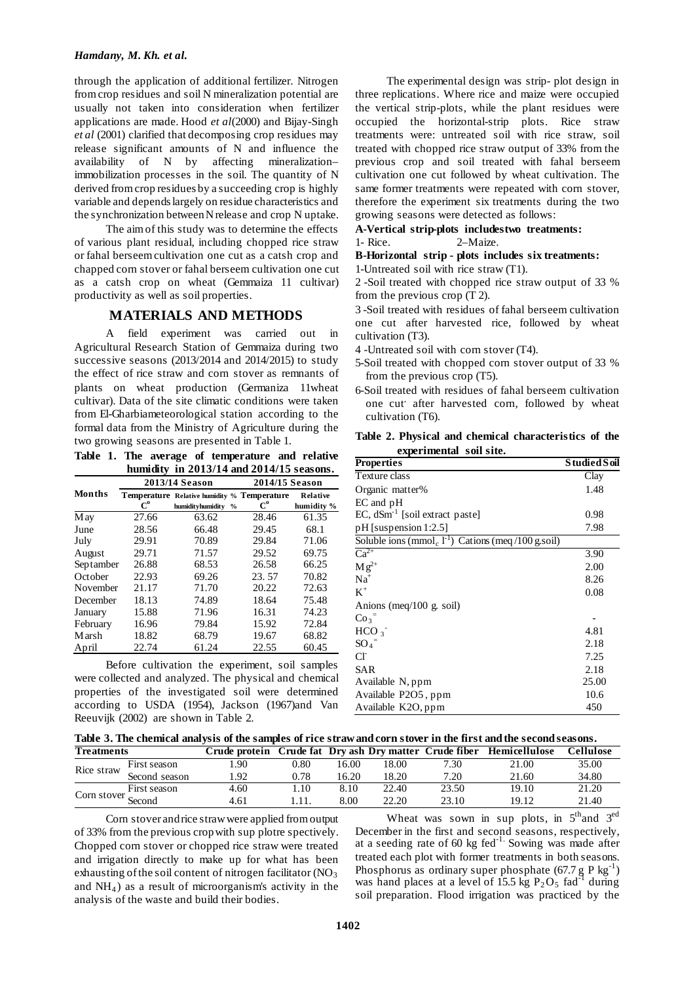through the application of additional fertilizer. Nitrogen from crop residues and soil N mineralization potential are usually not taken into consideration when fertilizer applications are made. Hood *et al*(2000) and Bijay-Singh *et al* (2001) clarified that decomposing crop residues may release significant amounts of N and influence the availability of N by affecting mineralization– immobilization processes in the soil. The quantity of N derived from crop residues by a succeeding crop is highly variable and depends largely on residue characteristics and the synchronization between N release and crop N uptake.

The aim of this study was to determine the effects of various plant residual, including chopped rice straw or fahal berseem cultivation one cut as a catsh crop and chapped corn stover or fahal berseem cultivation one cut as a catsh crop on wheat (Gemmaiza 11 cultivar) productivity as well as soil properties.

## **MATERIALS AND METHODS**

A field experiment was carried out in Agricultural Research Station of Gemmaiza during two successive seasons (2013/2014 and 2014/2015) to study the effect of rice straw and corn stover as remnants of plants on wheat production (Germaniza 11wheat cultivar). Data of the site climatic conditions were taken from El-Gharbiameteorological station according to the formal data from the Ministry of Agriculture during the two growing seasons are presented in Table 1.

**Table 1. The average of temperature and relative humidity in 2013/14 and 2014/15 seasons.**

|               |       | 2013/14 Season                                                                   | 2014/15 Season   |                        |  |  |
|---------------|-------|----------------------------------------------------------------------------------|------------------|------------------------|--|--|
| <b>Months</b> | $C^0$ | Temperature Relative humidity % Temperature<br>humidityhumidity<br>$\frac{6}{6}$ | $C^{\mathbf{0}}$ | Relative<br>humidity % |  |  |
| M ay          | 27.66 | 63.62                                                                            | 28.46            | 61.35                  |  |  |
| June          | 28.56 | 66.48                                                                            | 29.45            | 68.1                   |  |  |
| July          | 29.91 | 70.89                                                                            | 29.84            | 71.06                  |  |  |
| August        | 29.71 | 71.57                                                                            | 29.52            | 69.75                  |  |  |
| Septamber     | 26.88 | 68.53                                                                            | 26.58            | 66.25                  |  |  |
| October       | 22.93 | 69.26                                                                            | 23.57            | 70.82                  |  |  |
| November      | 21.17 | 71.70                                                                            | 20.22            | 72.63                  |  |  |
| December      | 18.13 | 74.89                                                                            | 18.64            | 75.48                  |  |  |
| January       | 15.88 | 71.96                                                                            | 16.31            | 74.23                  |  |  |
| February      | 16.96 | 79.84                                                                            | 15.92            | 72.84                  |  |  |
| M arsh        | 18.82 | 68.79                                                                            | 19.67            | 68.82                  |  |  |
| April         | 22.74 | 61.24                                                                            | 22.55            | 60.45                  |  |  |

Before cultivation the experiment, soil samples were collected and analyzed. The physical and chemical properties of the investigated soil were determined according to USDA (1954), Jackson (1967)and Van Reeuvijk (2002) are shown in Table 2.

The experimental design was strip- plot design in three replications. Where rice and maize were occupied the vertical strip-plots, while the plant residues were occupied the horizontal-strip plots. Rice straw treatments were: untreated soil with rice straw, soil treated with chopped rice straw output of 33% from the previous crop and soil treated with fahal berseem cultivation one cut followed by wheat cultivation. The same former treatments were repeated with corn stover, therefore the experiment six treatments during the two growing seasons were detected as follows:

**A-Vertical strip-plots includestwo treatments:** 

1- Rice. 2–Maize.

**B-Horizontal strip - plots includes six treatments:**  1-Untreated soil with rice straw (T1).

2 -Soil treated with chopped rice straw output of 33 % from the previous crop (T 2).

3 -Soil treated with residues of fahal berseem cultivation one cut after harvested rice, followed by wheat cultivation (T3).

- 4 -Untreated soil with corn stover (T4).
- 5-Soil treated with chopped corn stover output of 33 % from the previous crop (T5).
- 6-Soil treated with residues of fahal berseem cultivation one cut<sup>'</sup> after harvested corn, followed by wheat cultivation (T6).

**Table 2. Physical and chemical characteristics of the experimental soil site.**

| <b>Properties</b>                                                   | <b>Studied Soil</b> |
|---------------------------------------------------------------------|---------------------|
| Texture class                                                       | Clay                |
| Organic matter%                                                     | 1.48                |
| EC and pH                                                           |                     |
| EC, dSm <sup>-1</sup> [soil extract paste]                          | 0.98                |
| $pH$ [suspension 1:2.5]                                             | 7.98                |
| Soluble ions (mmol <sub>c</sub> $1^{-1}$ ) Cations (meq/100 g.soil) |                     |
| $\overline{\text{Ca}^{2+}}$                                         | 3.90                |
| $M g^{2+}$                                                          | 2.00                |
| $Na+$                                                               | 8.26                |
| $K^+$                                                               | 0.08                |
| Anions (meq/100 g. soil)                                            |                     |
| $\text{Co}_3$ <sup>=</sup>                                          |                     |
| HCO <sub>3</sub>                                                    | 4.81                |
| $SO_4^-$                                                            | 2.18                |
| $Cl^{\dagger}$                                                      | 7.25                |
| <b>SAR</b>                                                          | 2.18                |
| Available N, ppm                                                    | 25.00               |
| Available P2O5, ppm                                                 | 10.6                |
| Available K2O, ppm                                                  | 450                 |

| Table 3. The chemical analysis of the samples of rice straw and corn stover in the first and the second seasons. |  |  |  |  |  |  |  |
|------------------------------------------------------------------------------------------------------------------|--|--|--|--|--|--|--|
|                                                                                                                  |  |  |  |  |  |  |  |

| <b>Treatments</b> |               | Crude protein |      |          |       | Crude fat Dry ash Dry matter Crude fiber | Hemicellulose | Cellulose |
|-------------------|---------------|---------------|------|----------|-------|------------------------------------------|---------------|-----------|
| Rice straw        | First season  | .90           | 0.80 | 16.00    | 18.00 | 7.30                                     | 21.00         | 35.00     |
|                   | Second season | .92           | 0.78 | 16.20    | 18.20 | 7.20                                     | 21.60         | 34.80     |
| orn stover Second | First season  | 4.60          | .10  | 8.10     | 22.40 | 23.50                                    | 19.10         | 21.20     |
|                   |               | 4.61          |      | $8.00\,$ | 22.20 | 23.10                                    | 19.12         | 21.40     |

Corn stover and rice straw were applied from output of 33% from the previous crop with sup plotre spectively. Chopped corn stover or chopped rice straw were treated and irrigation directly to make up for what has been exhausting of the soil content of nitrogen facilitator  $(NO<sub>3</sub>)$ and  $NH<sub>4</sub>$ ) as a result of microorganism's activity in the analysis of the waste and build their bodies.

Wheat was sown in sup plots, in  $5<sup>th</sup>$  and  $3<sup>ed</sup>$ December in the first and second seasons, respectively, at a seeding rate of 60 kg fed<sup>-1.</sup> Sowing was made after treated each plot with former treatments in both seasons. Phosphorus as ordinary super phosphate  $(67.7 \text{ g} \text{ P kg}^{-1})$ was hand places at a level of  $15.5 \text{ kg } P_2O_5 \text{ fad}^1$  during soil preparation. Flood irrigation was practiced by the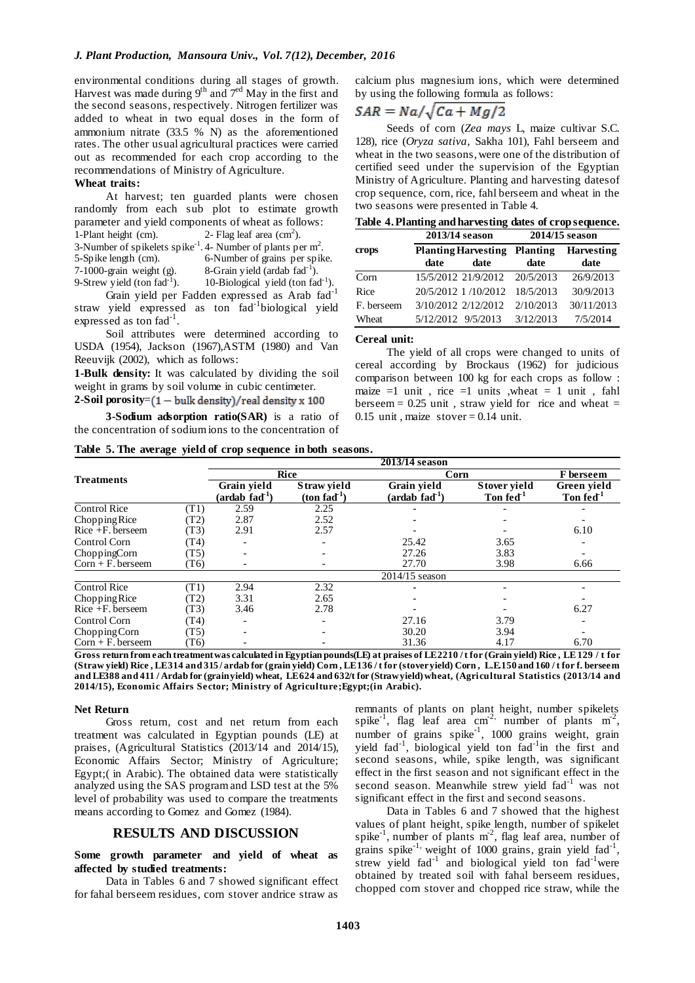environmental conditions during all stages of growth. Harvest was made during  $9<sup>th</sup>$  and  $7<sup>ed</sup>$  May in the first and the second seasons, respectively. Nitrogen fertilizer was added to wheat in two equal doses in the form of ammonium nitrate (33.5 % N) as the aforementioned rates. The other usual agricultural practices were carried out as recommended for each crop according to the recommendations of Ministry of Agriculture.

#### **Wheat traits:**

At harvest; ten guarded plants were chosen randomly from each sub plot to estimate growth parameter and yield components of wheat as follows: 1-Plant height (cm).  $2$ - Flag leaf area (cm<sup>2</sup>). 3-Number of spikelets spike<sup>-1</sup>. 4- Number of plants per  $m^2$ . 5-Spike length (cm). 6-Number of grains per spike. 7-1000-grain weight (g).  $8\text{-}\text{Grain yield (ardab fad}^{-1})$ .

9-Strew yield (ton  $fad^{-1}$ ).

 $10$ -Biological yield (ton fad<sup>-1</sup>). Grain yield per Fadden expressed as Arab fad-1 straw yield expressed as ton fad-1 biological yield expressed as ton fad<sup>-1</sup>.

Soil attributes were determined according to USDA (1954), Jackson (1967),ASTM (1980) and Van Reeuvijk (2002), which as follows:

**1-Bulk density:** It was calculated by dividing the soil weight in grams by soil volume in cubic centimeter.

### **2-Soil porosity**=

**3-Sodium adsorption ratio(SAR)** is a ratio of the concentration of sodium ions to the concentration of calcium plus magnesium ions, which were determined by using the following formula as follows:

# $SAR = Na/\sqrt{Ca + Mg/2}$

Seeds of corn (*Zea mays* L, maize cultivar S.C. 128), rice (*Oryza sativa*, Sakha 101), Fahl berseem and wheat in the two seasons, were one of the distribution of certified seed under the supervision of the Egyptian Ministry of Agriculture. Planting and harvesting datesof crop sequence, corn, rice, fahl berseem and wheat in the two seasons were presented in Table 4.

| Table 4. Planting and harvesting dates of crop sequence. |  |  |
|----------------------------------------------------------|--|--|
|                                                          |  |  |

|            | 2013/14 season     |                                     | 2014/15 season |                   |  |  |
|------------|--------------------|-------------------------------------|----------------|-------------------|--|--|
| crops      |                    | <b>Planting Harvesting Planting</b> |                | <b>Harvesting</b> |  |  |
|            | date               | date                                | date           | date              |  |  |
| Corn       |                    | 15/5/2012 21/9/2012 20/5/2013       |                | 26/9/2013         |  |  |
| Rice       |                    | 20/5/2012 1/10/2012                 | 18/5/2013      | 30/9/2013         |  |  |
| F. berseem |                    | 3/10/2012 2/12/2012                 | 2/10/2013      | 30/11/2013        |  |  |
| Wheat      | 5/12/2012 9/5/2013 |                                     | 3/12/2013      | 7/5/2014          |  |  |

#### **Cereal unit:**

The yield of all crops were changed to units of cereal according by Brockaus (1962) for judicious comparison between 100 kg for each crops as follow : maize  $=1$  unit, rice  $=1$  units ,wheat  $= 1$  unit, fahl berseem  $= 0.25$  unit, straw yield for rice and wheat  $=$ 0.15 unit, maize stover  $= 0.14$  unit.

| Table 5. The average yield of crop sequence in both seasons. |  |  |  |  |
|--------------------------------------------------------------|--|--|--|--|
|--------------------------------------------------------------|--|--|--|--|

|                      |      | 2013/14 season                            |                              |                                                  |                                       |                                      |  |  |  |  |  |
|----------------------|------|-------------------------------------------|------------------------------|--------------------------------------------------|---------------------------------------|--------------------------------------|--|--|--|--|--|
| <b>Treatments</b>    |      |                                           | Rice                         |                                                  | Corn                                  |                                      |  |  |  |  |  |
|                      |      | Grain yield<br>(ardab fad <sup>-1</sup> ) | Straw yield<br>$(ton fad-1)$ | Grain yield<br>$(\text{ardab } \text{fad}^{-1})$ | Stover yield<br>Ton fed <sup>-1</sup> | Green yield<br>Ton fed <sup>-1</sup> |  |  |  |  |  |
| <b>Control Rice</b>  | T1)  | 2.59                                      | 2.25                         |                                                  |                                       |                                      |  |  |  |  |  |
| Chopping Rice        | T2)  | 2.87                                      | 2.52                         |                                                  |                                       |                                      |  |  |  |  |  |
| $Rice + F.$ berseem  | (T3) | 2.91                                      | 2.57                         |                                                  |                                       | 6.10                                 |  |  |  |  |  |
| Control Corn         | (T4) |                                           |                              | 25.42                                            | 3.65                                  |                                      |  |  |  |  |  |
| ChoppingCorn         | (T5) |                                           |                              | 27.26                                            | 3.83                                  |                                      |  |  |  |  |  |
| $Corn + F.$ berseem  | (T6) |                                           |                              | 27.70                                            | 3.98                                  | 6.66                                 |  |  |  |  |  |
|                      |      |                                           |                              | $2014/15$ season                                 |                                       |                                      |  |  |  |  |  |
| <b>Control Rice</b>  | T1)  | 2.94                                      | 2.32                         |                                                  |                                       |                                      |  |  |  |  |  |
| Chopping Rice        | T2)  | 3.31                                      | 2.65                         |                                                  |                                       |                                      |  |  |  |  |  |
| $Rice + F.$ berseem  | T3)  | 3.46                                      | 2.78                         |                                                  |                                       | 6.27                                 |  |  |  |  |  |
| Control Corn         | (T4) |                                           |                              | 27.16                                            | 3.79                                  |                                      |  |  |  |  |  |
| Chopping Corn        | (T5) |                                           |                              | 30.20                                            | 3.94                                  |                                      |  |  |  |  |  |
| $Corn + F$ , berseem | T6)  |                                           |                              | 31.36                                            | 4.17                                  | 6.70                                 |  |  |  |  |  |

**Gross return from each treatment was calculated in Egyptian pounds(LE) at praises of LE 2210 / t for (Grain yield) Rice , LE 129 / t for (Straw yield) Rice , LE 314 and 315 / ardab for (grain yield) Corn , LE 136 / t for (stover yield) Corn , L.E.150 and 160 / t for f. berseem and LE388 and 411 / Ardab for (grain yield) wheat, LE 624 and 632/t for (Straw yield)wheat, (Agricultural Statistics (2013/14 and 2014/15), Economic Affairs Sector; Ministry of Agriculture;Egypt;(in Arabic).** 

#### **Net Return**

Gross return, cost and net return from each treatment was calculated in Egyptian pounds (LE) at praises, (Agricultural Statistics (2013/14 and 2014/15), Economic Affairs Sector; Ministry of Agriculture; Egypt;( in Arabic). The obtained data were statistically analyzed using the SAS program and LSD test at the 5% level of probability was used to compare the treatments means according to Gomez and Gomez (1984).

### **RESULTS AND DISCUSSION**

## **Some growth parameter and yield of wheat as affected by studied treatments:**

Data in Tables 6 and 7 showed significant effect for fahal berseem residues, corn stover andrice straw as

remnants of plants on plant height, number spikelets spike<sup>-1</sup>, flag leaf area cm<sup>-2,</sup> number of plants m<sup>-2</sup>, number of grains spike<sup>-1</sup>, 1000 grains weight, grain yield fad<sup>-1</sup>, biological yield ton fad<sup>-1</sup>in the first and second seasons, while, spike length, was significant effect in the first season and not significant effect in the second season. Meanwhile strew yield fad<sup>-1</sup> was not significant effect in the first and second seasons.

Data in Tables 6 and 7 showed that the highest values of plant height, spike length, number of spikelet spike<sup>-1</sup>, number of plants  $m<sup>2</sup>$ , flag leaf area, number of grains spike<sup>-1,</sup> weight of 1000 grains, grain yield fad<sup>-1</sup>, strew yield  $fad^{-1}$  and biological yield ton  $fad^{-1}$  were obtained by treated soil with fahal berseem residues, chopped corn stover and chopped rice straw, while the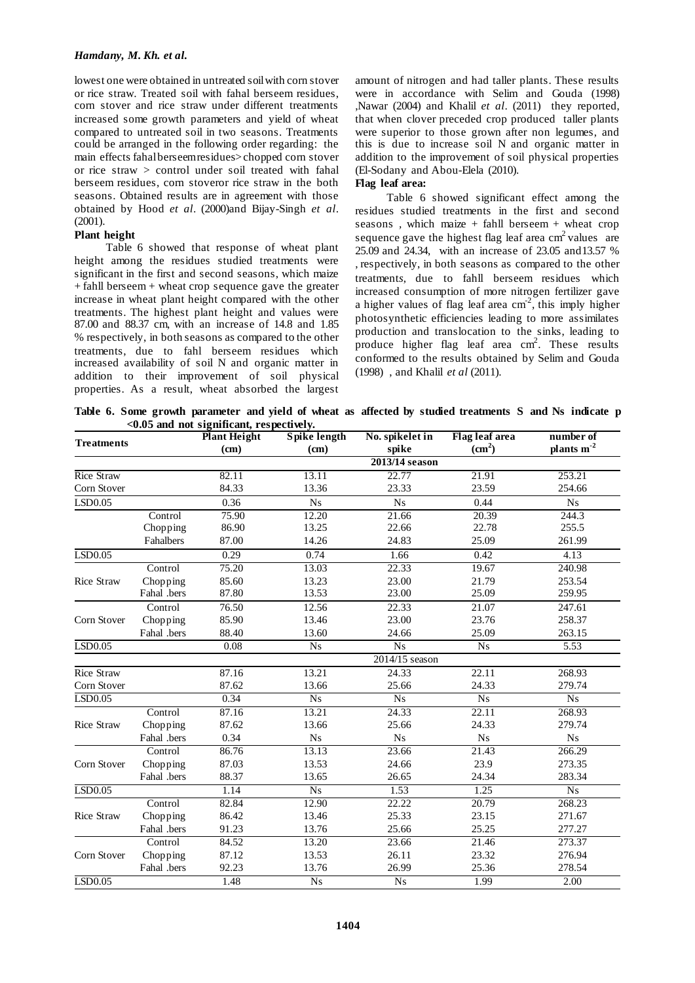### *Hamdany, M. Kh. et al.*

lowest one were obtained in untreated soil with corn stover or rice straw. Treated soil with fahal berseem residues, corn stover and rice straw under different treatments increased some growth parameters and yield of wheat compared to untreated soil in two seasons. Treatments could be arranged in the following order regarding: the main effects fahal berseem residues> chopped corn stover or rice straw > control under soil treated with fahal berseem residues, corn stoveror rice straw in the both seasons. Obtained results are in agreement with those obtained by Hood *et al*. (2000)and Bijay-Singh *et al*. (2001).

## **Plant height**

Table 6 showed that response of wheat plant height among the residues studied treatments were significant in the first and second seasons, which maize + fahll berseem + wheat crop sequence gave the greater increase in wheat plant height compared with the other treatments. The highest plant height and values were 87.00 and 88.37 cm, with an increase of 14.8 and 1.85 % respectively, in both seasons as compared to the other treatments, due to fahl berseem residues which increased availability of soil N and organic matter in addition to their improvement of soil physical properties. As a result, wheat absorbed the largest

amount of nitrogen and had taller plants. These results were in accordance with Selim and Gouda (1998) ,Nawar (2004) and Khalil *et al*. (2011) they reported, that when clover preceded crop produced taller plants were superior to those grown after non legumes, and this is due to increase soil N and organic matter in addition to the improvement of soil physical properties (El-Sodany and Abou-Elela (2010).

## **Flag leaf area:**

Table 6 showed significant effect among the residues studied treatments in the first and second seasons *,* which maize + fahll berseem + wheat crop sequence gave the highest flag leaf area  $\text{cm}^2$  values are 25.09 and 24.34, with an increase of 23.05 and13.57 % , respectively, in both seasons as compared to the other treatment*s*, due to fahll berseem residues which increased consumption of more nitrogen fertilizer gave a higher values of flag leaf area  $cm<sup>2</sup>$ , this imply higher photosynthetic efficiencies leading to more assimilates production and translocation to the sinks, leading to produce higher flag leaf area  $\text{cm}^2$ . These results conformed to the results obtained by Selim and Gouda (1998) , and Khalil *et al* (2011).

**Table 6. Some growth parameter and yield of wheat as affected by studied treatments S and Ns indicate p <0.05 and not significant, respectively.**

|                   |             | <b>Plant Height</b> | <b>Spike length</b> | No. spikelet in        | <b>Flag leaf area</b> | number of              |
|-------------------|-------------|---------------------|---------------------|------------------------|-----------------------|------------------------|
| <b>Treatments</b> |             | (cm)                | (cm)                | spike                  | (cm <sup>2</sup> )    | plants m <sup>-2</sup> |
|                   |             |                     |                     | 2013/14 season         |                       |                        |
| Rice Straw        |             | 82.11               | 13.11               | 22.77                  | 21.91                 | 253.21                 |
| Corn Stover       |             | 84.33               | 13.36               | 23.33                  | 23.59                 | 254.66                 |
| LSD0.05           |             | 0.36                | N <sub>s</sub>      | Ns                     | 0.44                  | N <sub>s</sub>         |
|                   | Control     | 75.90               | 12.20               | 21.66                  | 20.39                 | 244.3                  |
|                   | Chopping    | 86.90               | 13.25               | 22.66                  | 22.78                 | 255.5                  |
|                   | Fahalbers   | 87.00               | 14.26               | 24.83                  | 25.09                 | 261.99                 |
| LSD0.05           |             | 0.29                | 0.74                | 1.66                   | 0.42                  | 4.13                   |
|                   | Control     | 75.20               | 13.03               | 22.33                  | 19.67                 | 240.98                 |
| <b>Rice Straw</b> | Chopping    | 85.60               | 13.23               | 23.00                  | 21.79                 | 253.54                 |
|                   | Fahal .bers | 87.80               | 13.53               | 23.00                  | 25.09                 | 259.95                 |
|                   | Control     | 76.50               | 12.56               | 22.33                  | 21.07                 | 247.61                 |
| Corn Stover       | Chopping    | 85.90               | 13.46               | 23.00                  | 23.76                 | 258.37                 |
|                   | Fahal .bers | 88.40               | 13.60               | 24.66                  | 25.09                 | 263.15                 |
| LSD0.05           |             | 0.08                | N <sub>S</sub>      | N <sub>s</sub>         | <b>Ns</b>             | 5.53                   |
|                   |             |                     |                     | 2014/15 season         |                       |                        |
| Rice Straw        |             | 87.16               | 13.21               | 24.33                  | 22.11                 | 268.93                 |
| Corn Stover       |             | 87.62               | 13.66               | 25.66                  | 24.33                 | 279.74                 |
| LSD0.05           |             | 0.34                | N <sub>s</sub>      | N <sub>s</sub>         | N <sub>s</sub>        | $\overline{Ns}$        |
|                   | Control     | 87.16               | 13.21               | 24.33                  | 22.11                 | 268.93                 |
| <b>Rice Straw</b> | Chopping    | 87.62               | 13.66               | 25.66                  | 24.33                 | 279.74                 |
|                   | Fahal .bers | 0.34                | $_{\mathrm{Ns}}$    | $\mathbf{N}\mathbf{s}$ | N <sub>S</sub>        | $_{\mathrm{Ns}}$       |
|                   | Control     | 86.76               | 13.13               | 23.66                  | 21.43                 | 266.29                 |
| Corn Stover       | Chopping    | 87.03               | 13.53               | 24.66                  | 23.9                  | 273.35                 |
|                   | Fahal .bers | 88.37               | 13.65               | 26.65                  | 24.34                 | 283.34                 |
| LSD0.05           |             | 1.14                | N <sub>s</sub>      | 1.53                   | 1.25                  | $\overline{Ns}$        |
|                   | Control     | 82.84               | 12.90               | 22.22                  | 20.79                 | 268.23                 |
| Rice Straw        | Chopping    | 86.42               | 13.46               | 25.33                  | 23.15                 | 271.67                 |
|                   | Fahal .bers | 91.23               | 13.76               | 25.66                  | 25.25                 | 277.27                 |
|                   | Control     | 84.52               | 13.20               | 23.66                  | 21.46                 | 273.37                 |
| Corn Stover       | Chopping    | 87.12               | 13.53               | 26.11                  | 23.32                 | 276.94                 |
|                   | Fahal .bers | 92.23               | 13.76               | 26.99                  | 25.36                 | 278.54                 |
| LSD0.05           |             | 1.48                | N <sub>s</sub>      | <b>Ns</b>              | 1.99                  | 2.00                   |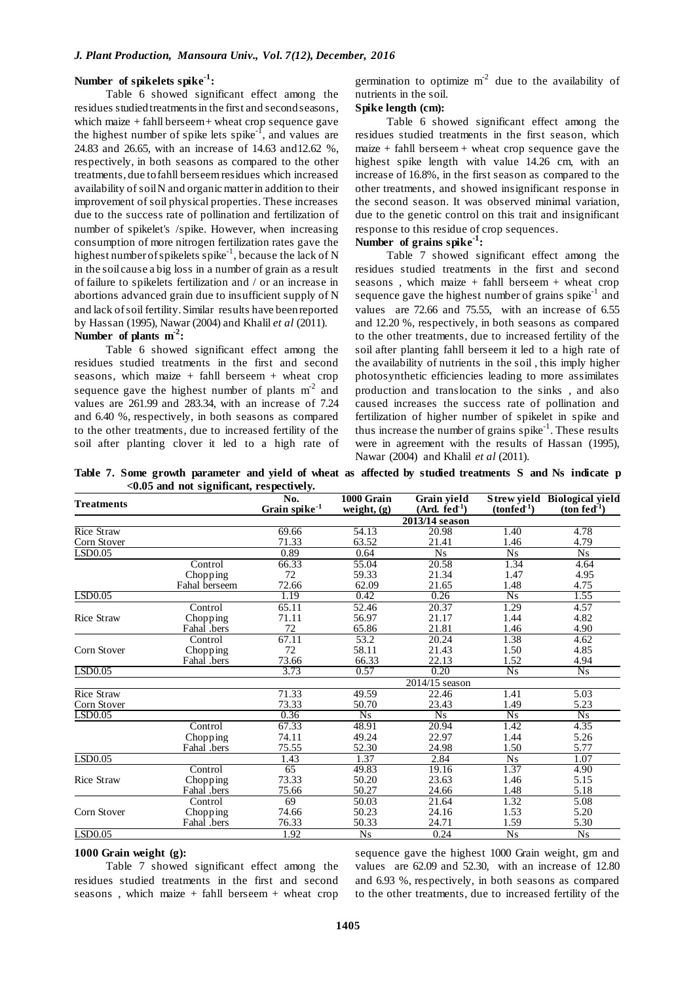## **Number of spikelets spike-1 :**

Table 6 showed significant effect among the residues studied treatments in the first and second seasons, which maize  $+$  fahll berseem  $+$  wheat crop sequence gave the highest number of spike lets spike<sup>-1</sup>, and values are 24.83 and 26.65, with an increase of 14.63 and12.62 %, respectively, in both seasons as compared to the other treatments, due to fahll berseem residues which increased availability of soil N and organic matter in addition to their improvement of soil physical properties. These increases due to the success rate of pollination and fertilization of number of spikelet's /spike. However, when increasing consumption of more nitrogen fertilization rates gave the highest number of spikelets spike<sup>-1</sup>, because the lack of N in the soil cause a big loss in a number of grain as a result of failure to spikelets fertilization and / or an increase in abortions advanced grain due to insufficient supply of N and lack of soil fertility. Similar results have been reported by Hassan (1995), Nawar (2004) and Khalil *et al* (2011). **Number of plants m-2 :** 

Table 6 showed significant effect among the residues studied treatments in the first and second seasons*,* which maize + fahll berseem + wheat crop sequence gave the highest number of plants  $m<sup>2</sup>$  and values are 261.99 and 283.34, with an increase of 7.24 and 6.40 %, respectively, in both seasons as compared to the other treatments, due to increased fertility of the soil after planting clover it led to a high rate of germination to optimize  $m<sup>2</sup>$  due to the availability of nutrients in the soil.

### **Spike length (cm):**

Table 6 showed significant effect among the residues studied treatments in the first season, which  $maize + fahl$  berseem + wheat crop sequence gave the highest spike length with value 14.26 cm, with an increase of 16.8%, in the first season as compared to the other treatments, and showed insignificant response in the second season. It was observed minimal variation, due to the genetic control on this trait and insignificant response to this residue of crop sequences.

## **Number of grains spike-1 :**

Table 7 showed significant effect among the residues studied treatments in the first and second seasons *,* which maize + fahll berseem + wheat crop sequence gave the highest number of grains spike $^{-1}$  and values are 72.66 and 75.55, with an increase of 6.55 and 12.20 %, respectively, in both seasons as compared to the other treatments, due to increased fertility of the soil after planting fahll berseem it led to a high rate of the availability of nutrients in the soil , this imply higher photosynthetic efficiencies leading to more assimilates production and translocation to the sinks , and also caused increases the success rate of pollination and fertilization of higher number of spikelet in spike and thus increase the number of grains  $\text{spike}^{-1}$ . These results were in agreement with the results of Hassan (1995), Nawar (2004) and Khalil *et al* (2011).

**Table 7. Some growth parameter and yield of wheat as affected by studied treatments S and Ns indicate p <0.05 and not significant, respectively.**

| <b>Treatments</b> |               | No.<br>Grain spike <sup>-1</sup> | 1000 Grain<br>weight, $(g)$ | Grain yield<br>$(Ard. \text{fed}^{-1})$ | $(ton \ddot{f}ed^{-1})$ | Strew yield Biological yield<br>$(ton fed-1)$ |
|-------------------|---------------|----------------------------------|-----------------------------|-----------------------------------------|-------------------------|-----------------------------------------------|
|                   |               |                                  |                             | 2013/14 season                          |                         |                                               |
| Rice Straw        |               | 69.66                            | 54.13                       | 20.98                                   | 1.40                    | 4.78                                          |
| Corn Stover       |               | 71.33                            | 63.52                       | 21.41                                   | 1.46                    | 4.79                                          |
| LSD0.05           |               | 0.89                             | 0.64                        | N <sub>S</sub>                          | Ns                      | N <sub>S</sub>                                |
|                   | Control       | 66.33                            | 55.04                       | 20.58                                   | 1.34                    | 4.64                                          |
|                   | Chopping      | 72                               | 59.33                       | 21.34                                   | 1.47                    | 4.95                                          |
|                   | Fahal berseem | 72.66                            | 62.09                       | 21.65                                   | 1.48                    | 4.75                                          |
| LSD0.05           |               | 1.19                             | 0.42                        | 0.26                                    | $\overline{Ns}$         | 1.55                                          |
|                   | Control       | 65.11                            | 52.46                       | 20.37                                   | 1.29                    | 4.57                                          |
| <b>Rice Straw</b> | Chopping      | 71.11                            | 56.97                       | 21.17                                   | 1.44                    | 4.82                                          |
|                   | Fahal .bers   | 72                               | 65.86                       | 21.81                                   | 1.46                    | 4.90                                          |
|                   | Control       | 67.11                            | 53.2                        | 20.24                                   | 1.38                    | 4.62                                          |
| Corn Stover       | Chopping      | 72                               | 58.11                       | 21.43                                   | 1.50                    | 4.85                                          |
|                   | Fahal .bers   | 73.66                            | 66.33                       | 22.13                                   | 1.52                    | 4.94                                          |
| LSD0.05           |               | 3.73                             | 0.57                        | 0.20                                    | $\overline{Ns}$         | N <sub>s</sub>                                |
|                   |               |                                  |                             | 2014/15 season                          |                         |                                               |
| <b>Rice Straw</b> |               | 71.33                            | 49.59                       | 22.46                                   | 1.41                    | 5.03                                          |
| Corn Stover       |               | 73.33                            | 50.70                       | 23.43                                   | 1.49                    | 5.23                                          |
| LSD0.05           |               | 0.36                             | N <sub>s</sub>              | N <sub>s</sub>                          | $\overline{Ns}$         | N <sub>s</sub>                                |
|                   | Control       | 67.33                            | 48.91                       | 20.94                                   | 1.42                    | 4.35                                          |
|                   | Chopping      | 74.11                            | 49.24                       | 22.97                                   | 1.44                    | 5.26                                          |
|                   | Fahal .bers   | 75.55                            | 52.30                       | 24.98                                   | 1.50                    | 5.77                                          |
| LSD0.05           |               | 1.43                             | 1.37                        | 2.84                                    | <b>Ns</b>               | 1.07                                          |
|                   | Control       | 65                               | 49.83                       | 19.16                                   | 1.37                    | 4.90                                          |
| <b>Rice Straw</b> | Chopping      | 73.33                            | 50.20                       | 23.63                                   | 1.46                    | 5.15                                          |
|                   | Fahal .bers   | 75.66                            | 50.27                       | 24.66                                   | 1.48                    | 5.18                                          |
|                   | Control       | 69                               | 50.03                       | 21.64                                   | 1.32                    | 5.08                                          |
| Corn Stover       | Chopping      | 74.66                            | 50.23                       | 24.16                                   | 1.53                    | 5.20                                          |
|                   | Fahal .bers   | 76.33                            | 50.33                       | 24.71                                   | 1.59                    | 5.30                                          |
| LSD0.05           |               | 1.92                             | N <sub>S</sub>              | 0.24                                    | N <sub>S</sub>          | N <sub>S</sub>                                |

#### **1000 Grain weight (g):**

Table 7 showed significant effect among the residues studied treatments in the first and second seasons *,* which maize + fahll berseem + wheat crop sequence gave the highest 1000 Grain weight, gm and values are 62.09 and 52.30, with an increase of 12.80 and 6.93 %, respectively, in both seasons as compared to the other treatments, due to increased fertility of the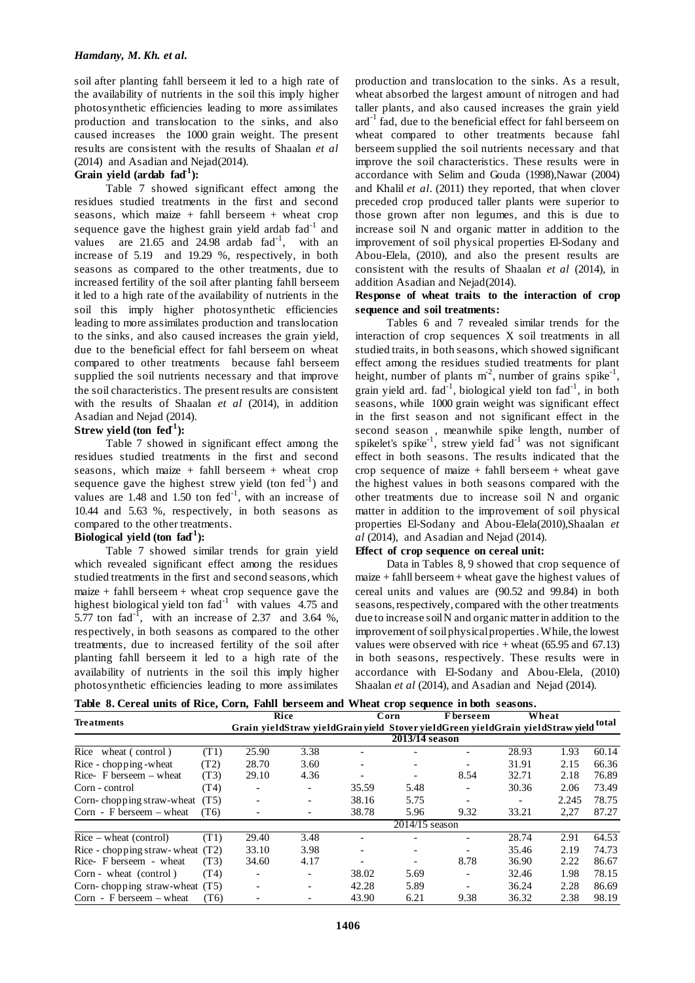soil after planting fahll berseem it led to a high rate of the availability of nutrients in the soil this imply higher photosynthetic efficiencies leading to more assimilates production and translocation to the sinks, and also caused increases the 1000 grain weight. The present results are consistent with the results of Shaalan *et al*  (2014) and Asadian and Nejad(2014).

## Grain yield (ardab fad<sup>1</sup>):

Table 7 showed significant effect among the residues studied treatments in the first and second seasons*,* which maize + fahll berseem + wheat crop sequence gave the highest grain yield ardab fad<sup>-1</sup> and values are  $21.65$  and  $24.98$  ardab  $\text{fad}^{-1}$ , with an increase of 5.19 and 19.29 %, respectively, in both seasons as compared to the other treatments, due to increased fertility of the soil after planting fahll berseem it led to a high rate of the availability of nutrients in the soil this imply higher photosynthetic efficiencies leading to more assimilates production and translocation to the sinks, and also caused increases the grain yield, due to the beneficial effect for fahl berseem on wheat compared to other treatments because fahl berseem supplied the soil nutrients necessary and that improve the soil characteristics. The present results are consistent with the results of Shaalan *et al* (2014), in addition Asadian and Nejad (2014).

## Strew yield (ton fed<sup>1</sup>):

Table 7 showed in significant effect among the residues studied treatments in the first and second seasons*,* which maize + fahll berseem + wheat crop sequence gave the highest strew yield (ton  $fed^{-1}$ ) and values are  $1.48$  and  $1.50$  ton fed<sup>-1</sup>, with an increase of 10.44 and 5.63 %, respectively, in both seasons as compared to the other treatments.

## Biological yield (ton fad<sup>1</sup>):

Table 7 showed similar trends for grain yield which revealed significant effect among the residues studied treatments in the first and second seasons*,* which  $maize + fahl berseem + wheat crop sequence gave the$ highest biological yield ton  $\text{fad}^{-1}$  with values 4.75 and 5.77 ton fad<sup>-1</sup>, with an increase of 2.37 and 3.64 %, respectively, in both seasons as compared to the other treatments, due to increased fertility of the soil after planting fahll berseem it led to a high rate of the availability of nutrients in the soil this imply higher photosynthetic efficiencies leading to more assimilates

production and translocation to the sinks. As a result, wheat absorbed the largest amount of nitrogen and had taller plants, and also caused increases the grain yield  $\text{ard}^{-1}$  fad, due to the beneficial effect for fahl berseem on wheat compared to other treatments because fahl berseem supplied the soil nutrients necessary and that improve the soil characteristics. These results were in accordance with Selim and Gouda (1998),Nawar (2004) and Khalil *et al*. (2011) they reported, that when clover preceded crop produced taller plants were superior to those grown after non legumes, and this is due to increase soil N and organic matter in addition to the improvement of soil physical properties El-Sodany and Abou-Elela, (2010), and also the present results are consistent with the results of Shaalan *et al* (2014), in addition Asadian and Nejad(2014).

## **Response of wheat traits to the interaction of crop sequence and soil treatments:**

Tables 6 and 7 revealed similar trends for the interaction of crop sequences X soil treatments in all studied traits, in both seasons, which showed significant effect among the residues studied treatments for plant height, number of plants  $m^2$ , number of grains spike<sup>-1</sup>, grain yield ard.  $\text{fad}^{-1}$ , biological yield ton  $\text{fad}^{-1}$ , in both seasons, while 1000 grain weight was significant effect in the first season and not significant effect in the second season , meanwhile spike length, number of spikelet's spike<sup>-1</sup>, strew yield  $fad^{-1}$  was not significant effect in both seasons. The results indicated that the crop sequence of maize + fahll berseem + wheat gave the highest values in both seasons compared with the other treatments due to increase soil N and organic matter in addition to the improvement of soil physical properties El-Sodany and Abou-Elela(2010),Shaalan *et al* (2014), and Asadian and Nejad (2014).

## **Effect of crop sequence on cereal unit:**

Data in Tables 8, 9 showed that crop sequence of maize + fahll berseem + wheat gave the highest values of cereal units and values are (90.52 and 99.84) in both seasons, respectively, compared with the other treatments due to increase soil N and organic matter in addition to the improvement of soil physical properties .While, the lowest values were observed with rice  $+$  wheat (65.95 and 67.13) in both seasons, respectively. These results were in accordance with El-Sodany and Abou-Elela, (2010) Shaalan *et al* (2014), and Asadian and Nejad (2014).

|  |  |  |  |  |  |  |  |  | Table 8. Cereal units of Rice, Corn, Fahll berseem and Wheat crop sequence in both seasons. |  |  |
|--|--|--|--|--|--|--|--|--|---------------------------------------------------------------------------------------------|--|--|
|--|--|--|--|--|--|--|--|--|---------------------------------------------------------------------------------------------|--|--|

|                                    |      |                          | Rice                     |                          | Corn           | F berseem                                                                            |       | Wheat |       |  |  |
|------------------------------------|------|--------------------------|--------------------------|--------------------------|----------------|--------------------------------------------------------------------------------------|-------|-------|-------|--|--|
| Treatments                         |      |                          |                          |                          |                | Grain yieldStraw yieldGrain yield Stover yieldGreen yieldGrain yieldStraw yieldtotal |       |       |       |  |  |
|                                    |      |                          |                          |                          | 2013/14 season |                                                                                      |       |       |       |  |  |
| Rice wheat (control)               | (T1) | 25.90                    | 3.38                     |                          |                |                                                                                      | 28.93 | 1.93  | 60.14 |  |  |
| Rice - chopping - wheat            | (T2) | 28.70                    | 3.60                     |                          |                | $\overline{\phantom{a}}$                                                             | 31.91 | 2.15  | 66.36 |  |  |
| Rice- $F$ berseem – wheat          | (T3) | 29.10                    | 4.36                     |                          |                | 8.54                                                                                 | 32.71 | 2.18  | 76.89 |  |  |
| Corn - control                     | (T4) | -                        | $\overline{\phantom{a}}$ | 35.59                    | 5.48           | $\overline{\phantom{a}}$                                                             | 30.36 | 2.06  | 73.49 |  |  |
| Corn-chopping straw-wheat          | (T5) | $\overline{\phantom{0}}$ | $\overline{\phantom{a}}$ | 38.16                    | 5.75           | $\overline{\phantom{0}}$                                                             |       | 2.245 | 78.75 |  |  |
| Corn - F berseem $-$ wheat         | (T6) |                          | $\overline{\phantom{a}}$ | 38.78                    | 5.96           | 9.32                                                                                 | 33.21 | 2,27  | 87.27 |  |  |
|                                    |      | $2014/15$ season         |                          |                          |                |                                                                                      |       |       |       |  |  |
| $Rice - wheat (control)$           | (T1) | 29.40                    | 3.48                     |                          |                |                                                                                      | 28.74 | 2.91  | 64.53 |  |  |
| Rice - chopping straw-wheat $(T2)$ |      | 33.10                    | 3.98                     |                          |                |                                                                                      | 35.46 | 2.19  | 74.73 |  |  |
| Rice- F berseem - wheat            | (T3) | 34.60                    | 4.17                     | $\overline{\phantom{a}}$ |                | 8.78                                                                                 | 36.90 | 2.22  | 86.67 |  |  |
| Corn - wheat (control)             | (T4) |                          | $\overline{\phantom{a}}$ | 38.02                    | 5.69           | $\overline{\phantom{a}}$                                                             | 32.46 | 1.98  | 78.15 |  |  |
| Corn-chopping straw-wheat $(T5)$   |      | $\overline{\phantom{0}}$ | $\overline{\phantom{a}}$ | 42.28                    | 5.89           |                                                                                      | 36.24 | 2.28  | 86.69 |  |  |
| Corn - F berseem $-$ wheat         | (T6) |                          |                          | 43.90                    | 6.21           | 9.38                                                                                 | 36.32 | 2.38  | 98.19 |  |  |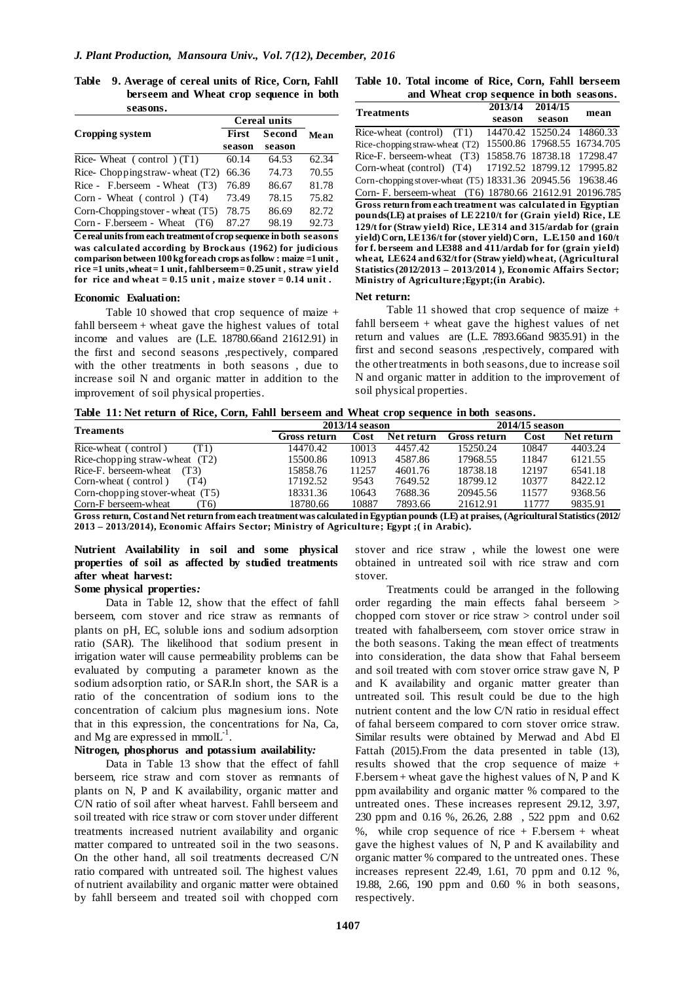**Table 9. Average of cereal units of Rice, Corn, Fahll berseem and Wheat crop sequence in both seasons.**

|                                     | <b>Cereal units</b> |        |       |  |
|-------------------------------------|---------------------|--------|-------|--|
| Cropping system                     | First               | Second | Mean  |  |
|                                     | season              | season |       |  |
| Rice-Wheat $(control) (T1)$         | 60.14               | 64.53  | 62.34 |  |
| Rice-Chopping straw-wheat $(T2)$    | 66.36               | 74.73  | 70.55 |  |
| Rice - F.berseem - Wheat $(T3)$     | 76.89               | 86.67  | 81.78 |  |
| Corn - Wheat $(control) (T4)$       | 73.49               | 78.15  | 75.82 |  |
| Corn-Chopping stover - wheat $(T5)$ | 78.75               | 86.69  | 82.72 |  |
| Corn - F.berseem - Wheat<br>(T6)    | 87.27               | 98.19  | 92.73 |  |

**Cereal units from each treatment of crop sequence in both seasons was calculated according by Brockaus (1962) for judicious comparison between 100 kg for each crops as follow : maize =1 unit , rice =1 units ,wheat = 1 unit , fahl berseem = 0.25 unit , straw yield for rice and wheat = 0.15 unit , maize stover = 0.14 unit .**

#### **Economic Evaluation:**

Table 10 showed that crop sequence of maize + fahll berseem + wheat gave the highest values of total income and values are (L.E. 18780.66and 21612.91) in the first and second seasons ,respectively, compared with the other treatments in both seasons , due to increase soil N and organic matter in addition to the improvement of soil physical properties.

| Table 10. Total income of Rice, Corn, Fahll berseem |  |
|-----------------------------------------------------|--|
| and Wheat crop sequence in both seasons.            |  |

| <b>Treatments</b>                                               | 2013/14           | 2014/15 |           |
|-----------------------------------------------------------------|-------------------|---------|-----------|
|                                                                 | season            | season  | mean      |
| Rice-wheat (control) (T1)                                       | 14470.42 15250.24 |         | 14860.33  |
| Rice-chopping straw-wheat (T2)                                  | 15500.86 17968.55 |         | 16734.705 |
| Rice-F. berseem-wheat (T3)                                      | 15858.76 18738.18 |         | 17298.47  |
| Corn-wheat (control) (T4)                                       | 17192.52 18799.12 |         | 17995.82  |
| Corn-chopping stover-wheat (T5) 18331.36 20945.56               |                   |         | 19638.46  |
| Corn-F. berseem-wheat (T6) 18780.66 21612.91 20196.785          |                   |         |           |
| Gross return from each treatment was calculated in Egyptian     |                   |         |           |
| pounds (LE) at praises of LE 2210/t for (Grain yield) Rice, LE  |                   |         |           |
| 129/t for (Straw yield) Rice, LE314 and 315/ardab for (grain    |                   |         |           |
| yield) Corn, LE136/t for (stover yield) Corn, L.E.150 and 160/t |                   |         |           |
| for f. berseem and LE388 and 411/ardab for for (grain yield)    |                   |         |           |
| wheat, LE624 and 632/t for (Straw yield) wheat, (Agricultural   |                   |         |           |
| Statistics (2012/2013 - 2013/2014), Economic Affairs Sector;    |                   |         |           |
| Ministry of Agriculture; Egypt; (in Arabic).                    |                   |         |           |

#### **Net return:**

Table 11 showed that crop sequence of maize + fahll berseem + wheat gave the highest values of net return and values are (L.E. 7893.66and 9835.91) in the first and second seasons ,respectively, compared with the othertreatments in both seasons, due to increase soil N and organic matter in addition to the improvement of soil physical properties.

|  | Table 11: Net return of Rice, Corn, Fahll berseem and Wheat crop sequence in both seasons. |  |  |  |  |  |  |  |  |  |  |  |  |
|--|--------------------------------------------------------------------------------------------|--|--|--|--|--|--|--|--|--|--|--|--|
|--|--------------------------------------------------------------------------------------------|--|--|--|--|--|--|--|--|--|--|--|--|

| <b>Treaments</b>                                                                                                                       |              | 2013/14 season |            | 2014/15 season |       |            |  |  |
|----------------------------------------------------------------------------------------------------------------------------------------|--------------|----------------|------------|----------------|-------|------------|--|--|
|                                                                                                                                        | Gross return | Cost           | Net return | Gross return   | Cost  | Net return |  |  |
| Rice-wheat (control)<br>T1)                                                                                                            | 14470.42     | 10013          | 4457.42    | 15250.24       | 10847 | 4403.24    |  |  |
| Rice-chopping straw-wheat $(T2)$                                                                                                       | 15500.86     | 10913          | 4587.86    | 17968.55       | 11847 | 6121.55    |  |  |
| Rice-F. berseem-wheat<br>(T3)                                                                                                          | 15858.76     | 11257          | 4601.76    | 18738.18       | 12197 | 6541.18    |  |  |
| Corn-wheat (control)<br>(T4)                                                                                                           | 17192.52     | 9543           | 7649.52    | 18799.12       | 10377 | 8422.12    |  |  |
| Corn-chopping stover-wheat $(T5)$                                                                                                      | 18331.36     | 10643          | 7688.36    | 20945.56       | 11577 | 9368.56    |  |  |
| Corn-F berseem-wheat<br>T6)                                                                                                            | 18780.66     | 10887          | 7893.66    | 21612.91       | 11777 | 9835.91    |  |  |
| Cross return Cost and Net return from each treatment was calculated in Foyntian nounds (LE) at praises (Agricultural Statistics (2012) |              |                |            |                |       |            |  |  |

**Gross return, Costand Net return from each treatment was calculated in Egyptian pounds (LE) at praises, (Agricultural Statistics (2012/ 2013 – 2013/2014), Economic Affairs Sector; Ministry of Agriculture; Egypt ;( in Arabic).** 

## **Nutrient Availability in soil and some physical properties of soil as affected by studied treatments after wheat harvest:**

## **Some physical properties***:*

Data in Table 12, show that the effect of fahll berseem, corn stover and rice straw as remnants of plants on pH, EC, soluble ions and sodium adsorption ratio (SAR). The likelihood that sodium present in irrigation water will cause permeability problems can be evaluated by computing a parameter known as the sodium adsorption ratio, or SAR.In short, the SAR is a ratio of the concentration of sodium ions to the concentration of calcium plus magnesium ions. Note that in this expression, the concentrations for Na, Ca, and Mg are expressed in mmol $L^{-1}$ .

## **Nitrogen***,* **phosphorus and potassium availability***:*

Data in Table 13 show that the effect of fahll berseem, rice straw and corn stover as remnants of plants on N, P and K availability, organic matter and C/N ratio of soil after wheat harvest. Fahll berseem and soil treated with rice straw or corn stover under different treatments increased nutrient availability and organic matter compared to untreated soil in the two seasons. On the other hand, all soil treatments decreased C/N ratio compared with untreated soil. The highest values of nutrient availability and organic matter were obtained by fahll berseem and treated soil with chopped corn stover and rice straw , while the lowest one were obtained in untreated soil with rice straw and corn stover.

Treatments could be arranged in the following order regarding the main effects fahal berseem > chopped corn stover or rice straw > control under soil treated with fahalberseem, corn stover orrice straw in the both seasons. Taking the mean effect of treatments into consideration, the data show that Fahal berseem and soil treated with corn stover orrice straw gave N, P and K availability and organic matter greater than untreated soil. This result could be due to the high nutrient content and the low C/N ratio in residual effect of fahal berseem compared to corn stover orrice straw. Similar results were obtained by Merwad and Abd El Fattah (2015).From the data presented in table (13), results showed that the crop sequence of maize + F.bersem + wheat gave the highest values of N, P and K ppm availability and organic matter % compared to the untreated ones. These increases represent 29.12, 3.97, 230 ppm and 0.16 %, 26.26, 2.88 , 522 ppm and 0.62 %, while crop sequence of rice  $+$  F.bersem  $+$  wheat gave the highest values of N, P and K availability and organic matter % compared to the untreated ones. These increases represent 22.49, 1.61, 70 ppm and 0.12 %, 19.88, 2.66, 190 ppm and 0.60 % in both seasons, respectively*.*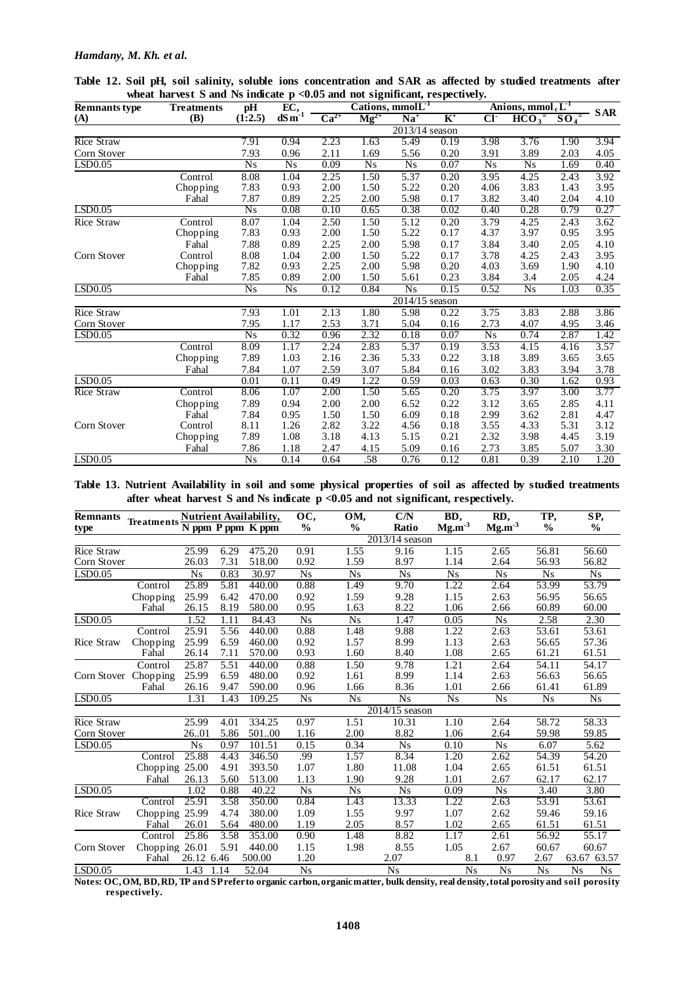### *Hamdany, M. Kh. et al.*

| <b>Remnants type</b> | Cations, mmolL <sup>-1</sup><br>EC,<br>pH<br><b>Treatments</b> |                 |                 |           |                 |                  | Anions, mmol <sub>c</sub> $L^1$ |                |                    |                  |            |
|----------------------|----------------------------------------------------------------|-----------------|-----------------|-----------|-----------------|------------------|---------------------------------|----------------|--------------------|------------------|------------|
| (A)                  | (B)                                                            | (1:2.5)         | dSm             | $Ca^{2+}$ | $Mg^{2+}$       | $Na+$            | $K^+$                           | CI             | $\overline{HCO_3}$ | $\frac{SO_4}{ }$ | <b>SAR</b> |
|                      |                                                                |                 |                 |           |                 | $2013/14$ season |                                 |                |                    |                  |            |
| Rice Straw           |                                                                | 7.91            | 0.94            | 2.23      | 1.63            | 5.49             | 0.19                            | 3.98           | 3.76               | 1.90             | 3.94       |
| Corn Stover          |                                                                | 7.93            | 0.96            | 2.11      | 1.69            | 5.56             | 0.20                            | 3.91           | 3.89               | 2.03             | 4.05       |
| LSD0.05              |                                                                | $\overline{Ns}$ | N <sub>S</sub>  | 0.09      | $\overline{Ns}$ | $\overline{Ns}$  | 0.07                            | N <sub>s</sub> | $\overline{Ns}$    | 1.69             | 0.40       |
|                      | Control                                                        | 8.08            | 1.04            | 2.25      | 1.50            | 5.37             | 0.20                            | 3.95           | 4.25               | 2.43             | 3.92       |
|                      | Chopping                                                       | 7.83            | 0.93            | 2.00      | 1.50            | 5.22             | 0.20                            | 4.06           | 3.83               | 1.43             | 3.95       |
|                      | Fahal                                                          | 7.87            | 0.89            | 2.25      | 2.00            | 5.98             | 0.17                            | 3.82           | 3.40               | 2.04             | 4.10       |
| LSD0.05              |                                                                | $\overline{Ns}$ | 0.08            | 0.10      | 0.65            | 0.38             | 0.02                            | 0.40           | 0.28               | 0.79             | 0.27       |
| Rice Straw           | Control                                                        | 8.07            | 1.04            | 2.50      | 1.50            | 5.12             | 0.20                            | 3.79           | 4.25               | 2.43             | 3.62       |
|                      | Chopping                                                       | 7.83            | 0.93            | 2.00      | 1.50            | 5.22             | 0.17                            | 4.37           | 3.97               | 0.95             | 3.95       |
|                      | Fahal                                                          | 7.88            | 0.89            | 2.25      | 2.00            | 5.98             | 0.17                            | 3.84           | 3.40               | 2.05             | 4.10       |
| Corn Stover          | Control                                                        | 8.08            | 1.04            | 2.00      | 1.50            | 5.22             | 0.17                            | 3.78           | 4.25               | 2.43             | 3.95       |
|                      | Chopping                                                       | 7.82            | 0.93            | 2.25      | 2.00            | 5.98             | 0.20                            | 4.03           | 3.69               | 1.90             | 4.10       |
|                      | Fahal                                                          | 7.85            | 0.89            | 2.00      | 1.50            | 5.61             | 0.23                            | 3.84           | 3.4                | 2.05             | 4.24       |
| LSD0.05              |                                                                | $\overline{Ns}$ | $\overline{Ns}$ | 0.12      | 0.84            | $\overline{Ns}$  | 0.15                            | 0.52           | $\overline{Ns}$    | 1.03             | 0.35       |
|                      |                                                                |                 |                 |           |                 | 2014/15 season   |                                 |                |                    |                  |            |
| <b>Rice Straw</b>    |                                                                | 7.93            | 1.01            | 2.13      | 1.80            | 5.98             | 0.22                            | 3.75           | 3.83               | 2.88             | 3.86       |
| Corn Stover          |                                                                | 7.95            | 1.17            | 2.53      | 3.71            | 5.04             | 0.16                            | 2.73           | 4.07               | 4.95             | 3.46       |
| LSD <sub>0.05</sub>  |                                                                | $\overline{Ns}$ | 0.32            | 0.96      | 2.32            | 0.18             | 0.07                            | N <sub>s</sub> | 0.74               | 2.87             | 1.42       |
|                      | Control                                                        | 8.09            | 1.17            | 2.24      | 2.83            | 5.37             | 0.19                            | 3.53           | 4.15               | 4.16             | 3.57       |
|                      | Chopping                                                       | 7.89            | 1.03            | 2.16      | 2.36            | 5.33             | 0.22                            | 3.18           | 3.89               | 3.65             | 3.65       |
|                      | Fahal                                                          | 7.84            | 1.07            | 2.59      | 3.07            | 5.84             | 0.16                            | 3.02           | 3.83               | 3.94             | 3.78       |
| LSD0.05              |                                                                | 0.01            | 0.11            | 0.49      | 1.22            | 0.59             | 0.03                            | 0.63           | 0.30               | 1.62             | 0.93       |
| <b>Rice Straw</b>    | Control                                                        | 8.06            | 1.07            | 2.00      | 1.50            | 5.65             | 0.20                            | 3.75           | 3.97               | 3.00             | 3.77       |
|                      | Chopping                                                       | 7.89            | 0.94            | 2.00      | 2.00            | 6.52             | 0.22                            | 3.12           | 3.65               | 2.85             | 4.11       |
|                      | Fahal                                                          | 7.84            | 0.95            | 1.50      | 1.50            | 6.09             | 0.18                            | 2.99           | 3.62               | 2.81             | 4.47       |
| Corn Stover          | Control                                                        | 8.11            | 1.26            | 2.82      | 3.22            | 4.56             | 0.18                            | 3.55           | 4.33               | 5.31             | 3.12       |
|                      | Chopping                                                       | 7.89            | 1.08            | 3.18      | 4.13            | 5.15             | 0.21                            | 2.32           | 3.98               | 4.45             | 3.19       |
|                      | Fahal                                                          | 7.86            | 1.18            | 2.47      | 4.15            | 5.09             | 0.16                            | 2.73           | 3.85               | 5.07             | 3.30       |
| LSD0.05              |                                                                | Ns              | 0.14            | 0.64      | .58             | 0.76             | 0.12                            | 0.81           | 0.39               | 2.10             | 1.20       |

**Table 12. Soil pH, soil salinity, soluble ions concentration and SAR as affected by studied treatments after**  wheat harvest S and Ns indicate p <0.05 and not significant, respectively.

**Table 13. Nutrient Availability in soil and some physical properties of soil as affected by studied treatments after wheat harvest S and Ns indicate p <0.05 and not significant, respectively.**

| <b>Remnants</b>   |                              |                |      | Nutrient Availability, | OC,             | OM,             | C/N              | BD,             | RD,             | TP,                | SP,                  |
|-------------------|------------------------------|----------------|------|------------------------|-----------------|-----------------|------------------|-----------------|-----------------|--------------------|----------------------|
| type              | Treatments N ppm P ppm K ppm |                |      |                        | $\frac{0}{0}$   | $\frac{6}{9}$   | Ratio            | $Mg.m^{-3}$     | $Mg.m-3$        | $\frac{0}{0}$      | $\frac{6}{6}$        |
|                   |                              |                |      |                        |                 |                 | $2013/14$ season |                 |                 |                    |                      |
| <b>Rice Straw</b> |                              | 25.99          | 6.29 | 475.20                 | 0.91            | 1.55            | 9.16             | 1.15            | 2.65            | 56.81              | 56.60                |
| Corn Stover       |                              | 26.03          | 7.31 | 518.00                 | 0.92            | 1.59            | 8.97             | 1.14            | 2.64            | 56.93              | 56.82                |
| LSD0.05           |                              | <b>Ns</b>      | 0.83 | 30.97                  | N <sub>s</sub>  | <b>Ns</b>       | N <sub>S</sub>   | Ns              | <b>Ns</b>       | N <sub>S</sub>     | N <sub>S</sub>       |
|                   | Control                      | 25.89          | 5.81 | 440.00                 | 0.88            | 1.49            | 9.70             | 1.22            | 2.64            | 53.99              | 53.79                |
|                   | Chopping                     | 25.99          | 6.42 | 470.00                 | 0.92            | 1.59            | 9.28             | 1.15            | 2.63            | 56.95              | 56.65                |
|                   | Fahal                        | 26.15          | 8.19 | 580.00                 | 0.95            | 1.63            | 8.22             | 1.06            | 2.66            | 60.89              | 60.00                |
| LSD0.05           |                              | 1.52           | 1.11 | 84.43                  | <b>Ns</b>       | <b>Ns</b>       | 1.47             | 0.05            | N <sub>S</sub>  | 2.58               | 2.30                 |
|                   | Control                      | 25.91          | 5.56 | 440.00                 | 0.88            | 1.48            | 9.88             | 1.22            | 2.63            | 53.61              | 53.61                |
| Rice Straw        | Chopping                     | 25.99          | 6.59 | 460.00                 | 0.92            | 1.57            | 8.99             | 1.13            | 2.63            | 56.65              | 57.36                |
|                   | Fahal                        | 26.14          | 7.11 | 570.00                 | 0.93            | 1.60            | 8.40             | 1.08            | 2.65            | 61.21              | 61.51                |
|                   | Control                      | 25.87          | 5.51 | 440.00                 | 0.88            | 1.50            | 9.78             | 1.21            | 2.64            | 54.11              | 54.17                |
| Corn Stover       | Chopping                     | 25.99          | 6.59 | 480.00                 | 0.92            | 1.61            | 8.99             | 1.14            | 2.63            | 56.63              | 56.65                |
|                   | Fahal                        | 26.16          | 9.47 | 590.00                 | 0.96            | 1.66            | 8.36             | 1.01            | 2.66            | 61.41              | 61.89                |
| LSD0.05           |                              | 1.31           | 1.43 | 109.25                 | $\overline{Ns}$ | $\overline{Ns}$ | $\overline{Ns}$  | $\overline{Ns}$ | $\overline{Ns}$ | $\overline{Ns}$    | $\overline{Ns}$      |
|                   |                              |                |      |                        |                 |                 | 2014/15 season   |                 |                 |                    |                      |
| <b>Rice Straw</b> |                              | 25.99          | 4.01 | 334.25                 | 0.97            | 1.51            | 10.31            | 1.10            | 2.64            | 58.72              | 58.33                |
| Corn Stover       |                              | 26.01          | 5.86 | 50100                  | 1.16            | 2.00            | 8.82             | 1.06            | 2.64            | 59.98              | 59.85                |
| LSD0.05           |                              | N <sub>S</sub> | 0.97 | 101.51                 | 0.15            | 0.34            | <b>Ns</b>        | 0.10            | <b>Ns</b>       | 6.07               | 5.62                 |
|                   | Control                      | 25.88          | 4.43 | 346.50                 | .99             | 1.57            | 8.34             | 1.20            | 2.62            | $\overline{54.39}$ | 54.20                |
|                   | Chopping 25.00               |                | 4.91 | 393.50                 | 1.07            | 1.80            | 11.08            | 1.04            | 2.65            | 61.51              | 61.51                |
|                   | Fahal                        | 26.13          | 5.60 | 513.00                 | 1.13            | 1.90            | 9.28             | 1.01            | 2.67            | 62.17              | 62.17                |
| LSD0.05           |                              | 1.02           | 0.88 | 40.22                  | <b>Ns</b>       | <b>Ns</b>       | <b>Ns</b>        | 0.09            | <b>Ns</b>       | 3.40               | 3.80                 |
|                   | Control                      | 25.91          | 3.58 | 350.00                 | 0.84            | 1.43            | 13.33            | 1.22            | 2.63            | 53.91              | 53.61                |
| Rice Straw        | Chopping 25.99               |                | 4.74 | 380.00                 | 1.09            | 1.55            | 9.97             | 1.07            | 2.62            | 59.46              | 59.16                |
|                   | Fahal                        | 26.01          | 5.64 | 480.00                 | 1.19            | 2.05            | 8.57             | 1.02            | 2.65            | 61.51              | 61.51                |
|                   | Control                      | 25.86          | 3.58 | 353.00                 | 0.90            | 1.48            | 8.82             | 1.17            | 2.61            | 56.92              | 55.17                |
| Corn Stover       | Chopping 26.01               |                | 5.91 | 440.00                 | 1.15            | 1.98            | 8.55             | 1.05            | 2.67            | 60.67              | 60.67                |
|                   | Fahal                        | 26.12 6.46     |      | 500.00                 | 1.20            |                 | 2.07             | 8.1             | 0.97            | 2.67               | 63.67 63.57          |
| LSD0.05           |                              | 1.43           | 1.14 | 52.04                  | N <sub>S</sub>  |                 | N <sub>S</sub>   | N <sub>S</sub>  | <b>Ns</b>       | <b>Ns</b>          | Ns<br>N <sub>S</sub> |

**Notes: OC, OM, BD, RD, TP and SP refer to organic carbon, organic matter, bulk density, real density, total porosity and soil porosity respectively.**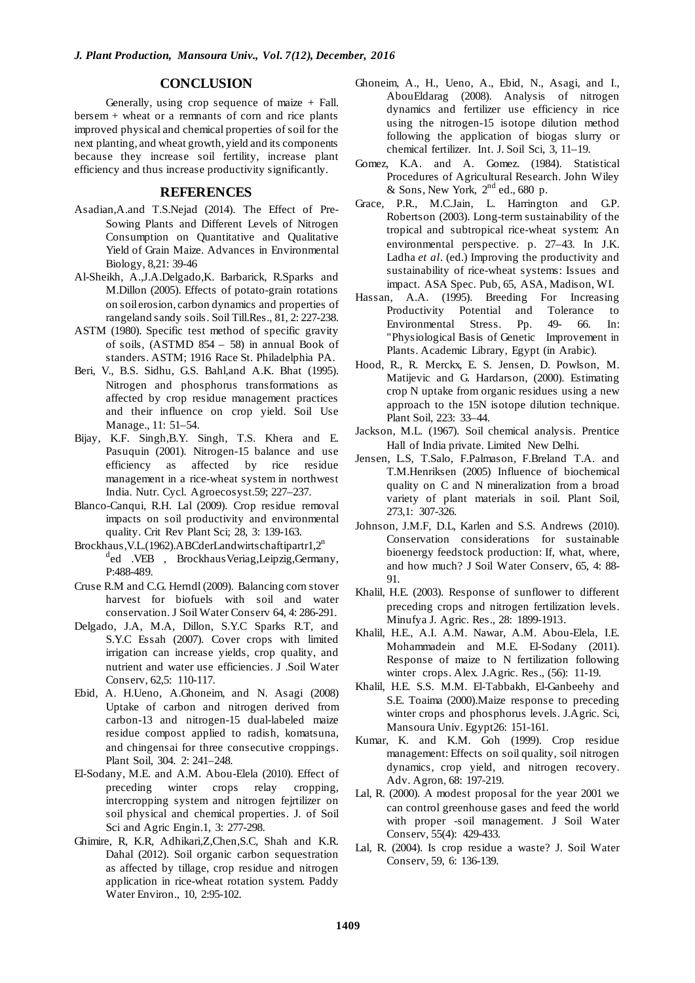## **CONCLUSION**

Generally, using crop sequence of maize  $+$  Fall. bersem + wheat or a remnants of corn and rice plants improved physical and chemical properties of soil for the next planting, and wheat growth, yield and its components because they increase soil fertility, increase plant efficiency and thus increase productivity significantly.

## **REFERENCES**

- Asadian,A.and T.S.Nejad (2014). The Effect of Pre-Sowing Plants and Different Levels of Nitrogen Consumption on Quantitative and Qualitative Yield of Grain Maize. Advances in Environmental Biology, 8,21: 39-46
- Al-Sheikh, A.,J.A.Delgado,K. Barbarick, R.Sparks and M.Dillon (2005). Effects of potato-grain rotations on soil erosion, carbon dynamics and properties of rangeland sandy soils. Soil Till.Res., 81, 2: 227-238.
- ASTM (1980). Specific test method of specific gravity of soils, (ASTMD 854 – 58) in annual Book of standers. ASTM; 1916 Race St. Philadelphia PA.
- Beri, V., B.S. Sidhu, G.S. Bahl,and A.K. Bhat (1995). Nitrogen and phosphorus transformations as affected by crop residue management practices and their influence on crop yield. Soil Use Manage., 11: 51–54.
- Bijay, K.F. Singh,B.Y. Singh, T.S. Khera and E. Pasuquin (2001). Nitrogen-15 balance and use efficiency as affected by rice residue management in a rice-wheat system in northwest India. Nutr. Cycl. Agroecosyst.59; 227–237.
- Blanco-Canqui, R.H. Lal (2009). Crop residue removal impacts on soil productivity and environmental quality. Crit Rev Plant Sci; 28, 3: 139-163.
- Brockhaus, V.L. (1962). ABCderLandwirtschaftipartr $1,2<sup>n</sup>$ <sup>d</sup>ed .VEB, Brockhaus Veriag, Leipzig, Germany, P:488-489.
- Cruse R.M and C.G. Herndl (2009). Balancing corn stover harvest for biofuels with soil and water conservation. J Soil Water Conserv 64, 4: 286-291.
- Delgado, J.A, M.A, Dillon, S.Y.C Sparks R.T, and S.Y.C Essah (2007). Cover crops with limited irrigation can increase yields, crop quality, and nutrient and water use efficiencies. J .Soil Water Conserv, 62,5: 110-117.
- Ebid, A. H.Ueno, A.Ghoneim, and N. Asagi (2008) Uptake of carbon and nitrogen derived from carbon-13 and nitrogen-15 dual-labeled maize residue compost applied to radish, komatsuna, and chingensai for three consecutive croppings. Plant Soil, 304. 2: 241–248.
- El-Sodany, M.E. and A.M. Abou-Elela (2010). Effect of preceding winter crops relay cropping, intercropping system and nitrogen fejrtilizer on soil physical and chemical properties. J. of Soil Sci and Agric Engin.1, 3: 277-298.
- Ghimire, R, K.R, Adhikari,Z,Chen,S.C, Shah and K.R. Dahal (2012). Soil organic carbon sequestration as affected by tillage, crop residue and nitrogen application in rice-wheat rotation system. Paddy Water Environ., 10, 2:95-102.
- Ghoneim, A., H., Ueno, A., Ebid, N., Asagi, and I., AbouEldarag (2008). Analysis of nitrogen dynamics and fertilizer use efficiency in rice using the nitrogen-15 isotope dilution method following the application of biogas slurry or chemical fertilizer. Int. J. Soil Sci, 3, 11–19.
- Gomez, K.A. and A. Gomez. (1984). Statistical Procedures of Agricultural Research. John Wiley  $&$  Sons, New York,  $2<sup>nd</sup>$  ed., 680 p.
- Grace, P.R., M.C.Jain, L. Harrington and G.P. Robertson (2003). Long-term sustainability of the tropical and subtropical rice-wheat system: An environmental perspective. p. 27–43. In J.K. Ladha *et al*. (ed.) Improving the productivity and sustainability of rice-wheat systems: Issues and impact. ASA Spec. Pub, 65, ASA, Madison, WI.
- Hassan, A.A. (1995). Breeding For Increasing Productivity Potential and Tolerance to Environmental Stress. Pp. 49- 66. In: "Physiological Basis of Genetic Improvement in Plants. Academic Library, Egypt (in Arabic).
- Hood, R., R. Merckx, E. S. Jensen, D. Powlson, M. Matijevic and G. Hardarson, (2000). Estimating crop N uptake from organic residues using a new approach to the 15N isotope dilution technique. Plant Soil, 223: 33–44.
- Jackson, M.L. (1967). Soil chemical analysis. Prentice Hall of India private. Limited New Delhi.
- Jensen, L.S, T.Salo, F.Palmason, F.Breland T.A. and T.M.Henriksen (2005) Influence of biochemical quality on C and N mineralization from a broad variety of plant materials in soil. Plant Soil, 273,1: 307-326.
- Johnson, J.M.F, D.L, Karlen and S.S. Andrews (2010). Conservation considerations for sustainable bioenergy feedstock production: If, what, where, and how much? J Soil Water Conserv, 65, 4: 88- 91.
- Khalil, H.E. (2003). Response of sunflower to different preceding crops and nitrogen fertilization levels. Minufya J. Agric. Res., 28: 1899-1913.
- Khalil, H.E., A.I. A.M. Nawar, A.M. Abou-Elela, I.E. Mohammadein and M.E. El-Sodany (2011). Response of maize to N fertilization following winter crops. Alex. J.Agric. Res., (56): 11-19.
- Khalil, H.E. S.S. M.M. El-Tabbakh, El-Ganbeehy and S.E. Toaima (2000).Maize response to preceding winter crops and phosphorus levels. J.Agric. Sci, Mansoura Univ. Egypt26: 151-161.
- Kumar, K. and K.M. Goh (1999). Crop residue management: Effects on soil quality, soil nitrogen dynamics, crop yield, and nitrogen recovery. Adv. Agron, 68: 197-219.
- Lal, R. (2000). A modest proposal for the year 2001 we can control greenhouse gases and feed the world with proper -soil management. J Soil Water Conserv, 55(4): 429-433.
- Lal, R. (2004). Is crop residue a waste? J. Soil Water Conserv, 59, 6: 136-139.